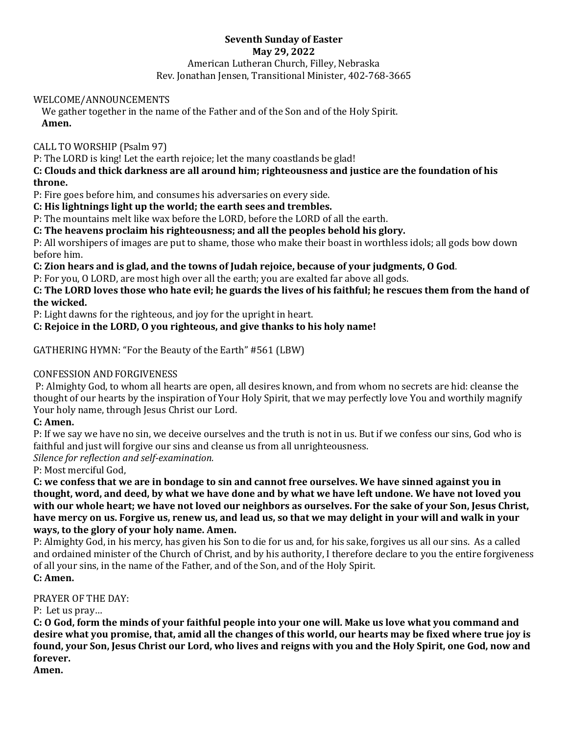# **Seventh Sunday of Easter May 29, 2022** American Lutheran Church, Filley, Nebraska Rev. Jonathan Jensen, Transitional Minister, 402-768-3665

## WELCOME/ANNOUNCEMENTS

We gather together in the name of the Father and of the Son and of the Holy Spirit. **Amen.**

CALL TO WORSHIP (Psalm 97)

P: The LORD is king! Let the earth rejoice; let the many coastlands be glad!

**C: Clouds and thick darkness are all around him; righteousness and justice are the foundation of his throne.**

P: Fire goes before him, and consumes his adversaries on every side.

**C: His lightnings light up the world; the earth sees and trembles.**

P: The mountains melt like wax before the LORD, before the LORD of all the earth.

**C: The heavens proclaim his righteousness; and all the peoples behold his glory.**

P: All worshipers of images are put to shame, those who make their boast in worthless idols; all gods bow down before him.

**C: Zion hears and is glad, and the towns of Judah rejoice, because of your judgments, O God**.

P: For you, O LORD, are most high over all the earth; you are exalted far above all gods.

**C: The LORD loves those who hate evil; he guards the lives of his faithful; he rescues them from the hand of the wicked.**

P: Light dawns for the righteous, and joy for the upright in heart.

# **C: Rejoice in the LORD, O you righteous, and give thanks to his holy name!**

GATHERING HYMN: "For the Beauty of the Earth" #561 (LBW)

## CONFESSION AND FORGIVENESS

P: Almighty God, to whom all hearts are open, all desires known, and from whom no secrets are hid: cleanse the thought of our hearts by the inspiration of Your Holy Spirit, that we may perfectly love You and worthily magnify Your holy name, through Jesus Christ our Lord.

## **C: Amen.**

P: If we say we have no sin, we deceive ourselves and the truth is not in us. But if we confess our sins, God who is faithful and just will forgive our sins and cleanse us from all unrighteousness.

*Silence for reflection and self-examination.*

P: Most merciful God,

**C: we confess that we are in bondage to sin and cannot free ourselves. We have sinned against you in thought, word, and deed, by what we have done and by what we have left undone. We have not loved you with our whole heart; we have not loved our neighbors as ourselves. For the sake of your Son, Jesus Christ, have mercy on us. Forgive us, renew us, and lead us, so that we may delight in your will and walk in your ways, to the glory of your holy name. Amen.** 

P: Almighty God, in his mercy, has given his Son to die for us and, for his sake, forgives us all our sins. As a called and ordained minister of the Church of Christ, and by his authority, I therefore declare to you the entire forgiveness of all your sins, in the name of the Father, and of the Son, and of the Holy Spirit. **C: Amen.**

## PRAYER OF THE DAY:

P: Let us pray…

**C: O God, form the minds of your faithful people into your one will. Make us love what you command and desire what you promise, that, amid all the changes of this world, our hearts may be fixed where true joy is found, your Son, Jesus Christ our Lord, who lives and reigns with you and the Holy Spirit, one God, now and forever.**

**Amen.**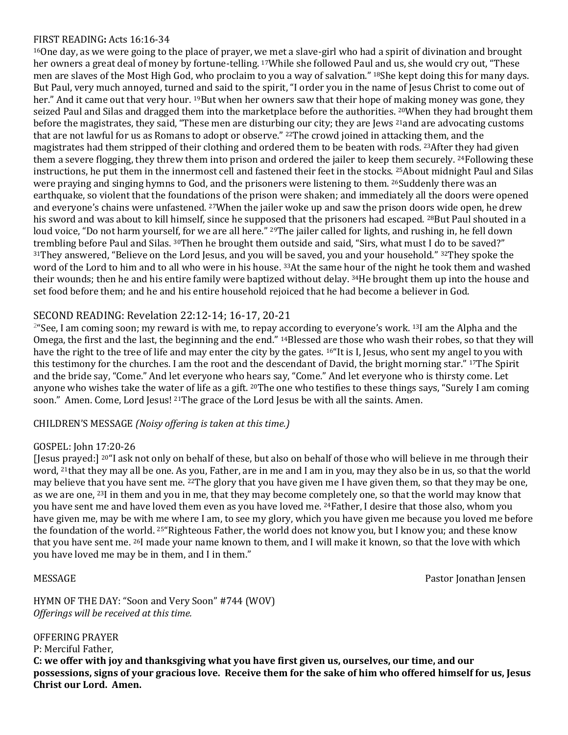## FIRST READING**:** Acts 16:16-34

<sup>16</sup>One day, as we were going to the place of prayer, we met a slave-girl who had a spirit of divination and brought her owners a great deal of money by fortune-telling. <sup>17</sup>While she followed Paul and us, she would cry out, "These men are slaves of the Most High God, who proclaim to you a way of salvation." <sup>18</sup>She kept doing this for many days. But Paul, very much annoyed, turned and said to the spirit, "I order you in the name of Jesus Christ to come out of her." And it came out that very hour. <sup>19</sup>But when her owners saw that their hope of making money was gone, they seized Paul and Silas and dragged them into the marketplace before the authorities. <sup>20</sup>When they had brought them before the magistrates, they said, "These men are disturbing our city; they are Jews <sup>21</sup>and are advocating customs that are not lawful for us as Romans to adopt or observe." <sup>22</sup>The crowd joined in attacking them, and the magistrates had them stripped of their clothing and ordered them to be beaten with rods. <sup>23</sup>After they had given them a severe flogging, they threw them into prison and ordered the jailer to keep them securely. <sup>24</sup>Following these instructions, he put them in the innermost cell and fastened their feet in the stocks. <sup>25</sup>About midnight Paul and Silas were praying and singing hymns to God, and the prisoners were listening to them. <sup>26</sup>Suddenly there was an earthquake, so violent that the foundations of the prison were shaken; and immediately all the doors were opened and everyone's chains were unfastened. <sup>27</sup>When the jailer woke up and saw the prison doors wide open, he drew his sword and was about to kill himself, since he supposed that the prisoners had escaped. <sup>28</sup>But Paul shouted in a loud voice, "Do not harm yourself, for we are all here." <sup>29</sup>The jailer called for lights, and rushing in, he fell down trembling before Paul and Silas. <sup>30</sup>Then he brought them outside and said, "Sirs, what must I do to be saved?" 31They answered, "Believe on the Lord Jesus, and you will be saved, you and your household." 32They spoke the word of the Lord to him and to all who were in his house. <sup>33</sup>At the same hour of the night he took them and washed their wounds; then he and his entire family were baptized without delay. <sup>34</sup>He brought them up into the house and set food before them; and he and his entire household rejoiced that he had become a believer in God.

# SECOND READING: Revelation 22:12-14; 16-17, 20-21

2 "See, I am coming soon; my reward is with me, to repay according to everyone's work. <sup>13</sup>I am the Alpha and the Omega, the first and the last, the beginning and the end." <sup>14</sup>Blessed are those who wash their robes, so that they will have the right to the tree of life and may enter the city by the gates. <sup>16"</sup>It is I, Jesus, who sent my angel to you with this testimony for the churches. I am the root and the descendant of David, the bright morning star." <sup>17</sup>The Spirit and the bride say, "Come." And let everyone who hears say, "Come." And let everyone who is thirsty come. Let anyone who wishes take the water of life as a gift. <sup>20</sup>The one who testifies to these things says, "Surely I am coming soon." Amen. Come, Lord Jesus! <sup>21</sup>The grace of the Lord Jesus be with all the saints. Amen.

## CHILDREN'S MESSAGE *(Noisy offering is taken at this time.)*

## GOSPEL: John 17:20-26

[Jesus prayed:] <sup>20</sup>"I ask not only on behalf of these, but also on behalf of those who will believe in me through their word, <sup>21</sup>that they may all be one. As you, Father, are in me and I am in you, may they also be in us, so that the world may believe that you have sent me. <sup>22</sup>The glory that you have given me I have given them, so that they may be one, as we are one, <sup>23</sup>I in them and you in me, that they may become completely one, so that the world may know that you have sent me and have loved them even as you have loved me. <sup>24</sup>Father, I desire that those also, whom you have given me, may be with me where I am, to see my glory, which you have given me because you loved me before the foundation of the world. <sup>25</sup>"Righteous Father, the world does not know you, but I know you; and these know that you have sent me. <sup>26</sup>I made your name known to them, and I will make it known, so that the love with which you have loved me may be in them, and I in them."

MESSAGE Pastor Jonathan Jensen

HYMN OF THE DAY: "Soon and Very Soon" #744 (WOV) *Offerings will be received at this time.*

OFFERING PRAYER P: Merciful Father, **C: we offer with joy and thanksgiving what you have first given us, ourselves, our time, and our possessions, signs of your gracious love. Receive them for the sake of him who offered himself for us, Jesus Christ our Lord. Amen.**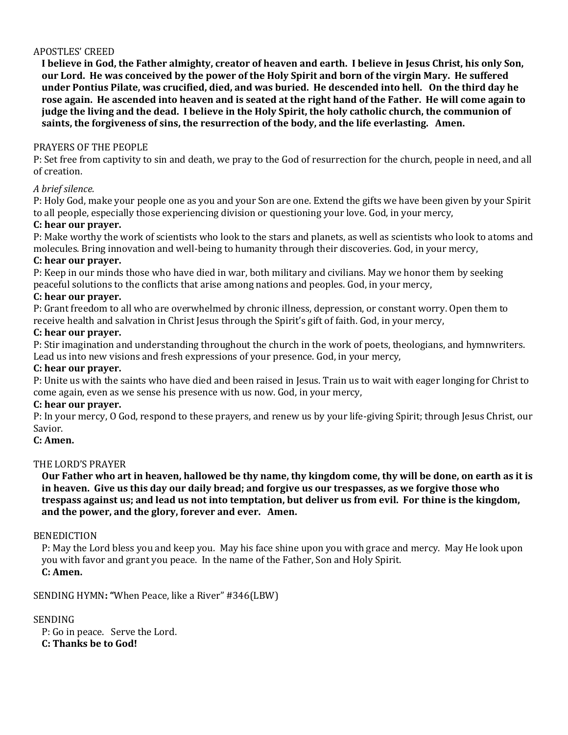## APOSTLES' CREED

**I believe in God, the Father almighty, creator of heaven and earth. I believe in Jesus Christ, his only Son, our Lord. He was conceived by the power of the Holy Spirit and born of the virgin Mary. He suffered under Pontius Pilate, was crucified, died, and was buried. He descended into hell. On the third day he rose again. He ascended into heaven and is seated at the right hand of the Father. He will come again to judge the living and the dead. I believe in the Holy Spirit, the holy catholic church, the communion of saints, the forgiveness of sins, the resurrection of the body, and the life everlasting. Amen.**

## PRAYERS OF THE PEOPLE

P: Set free from captivity to sin and death, we pray to the God of resurrection for the church, people in need, and all of creation.

## *A brief silence.*

P: Holy God, make your people one as you and your Son are one. Extend the gifts we have been given by your Spirit to all people, especially those experiencing division or questioning your love. God, in your mercy,

# **C: hear our prayer.**

P: Make worthy the work of scientists who look to the stars and planets, as well as scientists who look to atoms and molecules. Bring innovation and well-being to humanity through their discoveries. God, in your mercy,

## **C: hear our prayer.**

P: Keep in our minds those who have died in war, both military and civilians. May we honor them by seeking peaceful solutions to the conflicts that arise among nations and peoples. God, in your mercy,

## **C: hear our prayer.**

P: Grant freedom to all who are overwhelmed by chronic illness, depression, or constant worry. Open them to receive health and salvation in Christ Jesus through the Spirit's gift of faith. God, in your mercy,

## **C: hear our prayer.**

P: Stir imagination and understanding throughout the church in the work of poets, theologians, and hymnwriters. Lead us into new visions and fresh expressions of your presence. God, in your mercy,

## **C: hear our prayer.**

P: Unite us with the saints who have died and been raised in Jesus. Train us to wait with eager longing for Christ to come again, even as we sense his presence with us now. God, in your mercy,

## **C: hear our prayer.**

P: In your mercy, O God, respond to these prayers, and renew us by your life-giving Spirit; through Jesus Christ, our Savior.

# **C: Amen.**

## THE LORD'S PRAYER

**Our Father who art in heaven, hallowed be thy name, thy kingdom come, thy will be done, on earth as it is in heaven. Give us this day our daily bread; and forgive us our trespasses, as we forgive those who trespass against us; and lead us not into temptation, but deliver us from evil. For thine is the kingdom, and the power, and the glory, forever and ever. Amen.**

## BENEDICTION

P: May the Lord bless you and keep you. May his face shine upon you with grace and mercy. May He look upon you with favor and grant you peace. In the name of the Father, Son and Holy Spirit.

# **C: Amen.**

SENDING HYMN**: "**When Peace, like a River" #346(LBW)

## **SENDING**

P: Go in peace. Serve the Lord. **C: Thanks be to God!**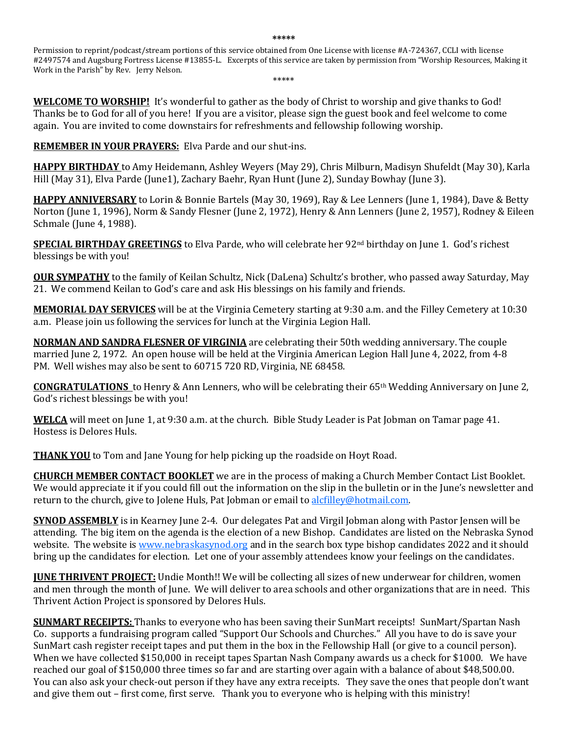**\*\*\*\*\***

Permission to reprint/podcast/stream portions of this service obtained from One License with license #A-724367, CCLI with license #2497574 and Augsburg Fortress License #13855-L. Excerpts of this service are taken by permission from "Worship Resources, Making it Work in the Parish" by Rev. Jerry Nelson. \*\*\*\*\*

**WELCOME TO WORSHIP!** It's wonderful to gather as the body of Christ to worship and give thanks to God! Thanks be to God for all of you here! If you are a visitor, please sign the guest book and feel welcome to come again. You are invited to come downstairs for refreshments and fellowship following worship.

**REMEMBER IN YOUR PRAYERS:** Elva Parde and our shut-ins.

**HAPPY BIRTHDAY** to Amy Heidemann, Ashley Weyers (May 29), Chris Milburn, Madisyn Shufeldt (May 30), Karla Hill (May 31), Elva Parde (June1), Zachary Baehr, Ryan Hunt (June 2), Sunday Bowhay (June 3).

**HAPPY ANNIVERSARY** to Lorin & Bonnie Bartels (May 30, 1969), Ray & Lee Lenners (June 1, 1984), Dave & Betty Norton (June 1, 1996), Norm & Sandy Flesner (June 2, 1972), Henry & Ann Lenners (June 2, 1957), Rodney & Eileen Schmale (June 4, 1988).

**SPECIAL BIRTHDAY GREETINGS** to Elva Parde, who will celebrate her 92<sup>nd</sup> birthday on June 1. God's richest blessings be with you!

**OUR SYMPATHY** to the family of Keilan Schultz, Nick (DaLena) Schultz's brother, who passed away Saturday, May 21. We commend Keilan to God's care and ask His blessings on his family and friends.

**MEMORIAL DAY SERVICES** will be at the Virginia Cemetery starting at 9:30 a.m. and the Filley Cemetery at 10:30 a.m. Please join us following the services for lunch at the Virginia Legion Hall.

**NORMAN AND SANDRA FLESNER OF VIRGINIA** are celebrating their 50th wedding anniversary. The couple married June 2, 1972. An open house will be held at the Virginia American Legion Hall June 4, 2022, from 4-8 PM. Well wishes may also be sent to 60715 720 RD, Virginia, NE 68458.

**CONGRATULATIONS** to Henry & Ann Lenners, who will be celebrating their 65<sup>th</sup> Wedding Anniversary on June 2, God's richest blessings be with you!

**WELCA** will meet on June 1, at 9:30 a.m. at the church. Bible Study Leader is Pat Jobman on Tamar page 41. Hostess is Delores Huls.

**THANK YOU** to Tom and Jane Young for help picking up the roadside on Hoyt Road.

**CHURCH MEMBER CONTACT BOOKLET** we are in the process of making a Church Member Contact List Booklet. We would appreciate it if you could fill out the information on the slip in the bulletin or in the June's newsletter and return to the church, give to Jolene Huls, Pat Jobman or email to [alcfilley@hotmail.com.](mailto:alcfilley@hotmail.com) 

**SYNOD ASSEMBLY** is in Kearney June 2-4. Our delegates Pat and Virgil Jobman along with Pastor Jensen will be attending. The big item on the agenda is the election of a new Bishop. Candidates are listed on the Nebraska Synod website. The website i[s www.nebraskasynod.org](http://www.nebraskasynod.org/) and in the search box type bishop candidates 2022 and it should bring up the candidates for election. Let one of your assembly attendees know your feelings on the candidates.

**JUNE THRIVENT PROJECT:** Undie Month!! We will be collecting all sizes of new underwear for children, women and men through the month of June. We will deliver to area schools and other organizations that are in need. This Thrivent Action Project is sponsored by Delores Huls.

**SUNMART RECEIPTS:** Thanks to everyone who has been saving their SunMart receipts! SunMart/Spartan Nash Co. supports a fundraising program called "Support Our Schools and Churches." All you have to do is save your SunMart cash register receipt tapes and put them in the box in the Fellowship Hall (or give to a council person). When we have collected \$150,000 in receipt tapes Spartan Nash Company awards us a check for \$1000. We have reached our goal of \$150,000 three times so far and are starting over again with a balance of about \$48,500.00. You can also ask your check-out person if they have any extra receipts. They save the ones that people don't want and give them out – first come, first serve. Thank you to everyone who is helping with this ministry!